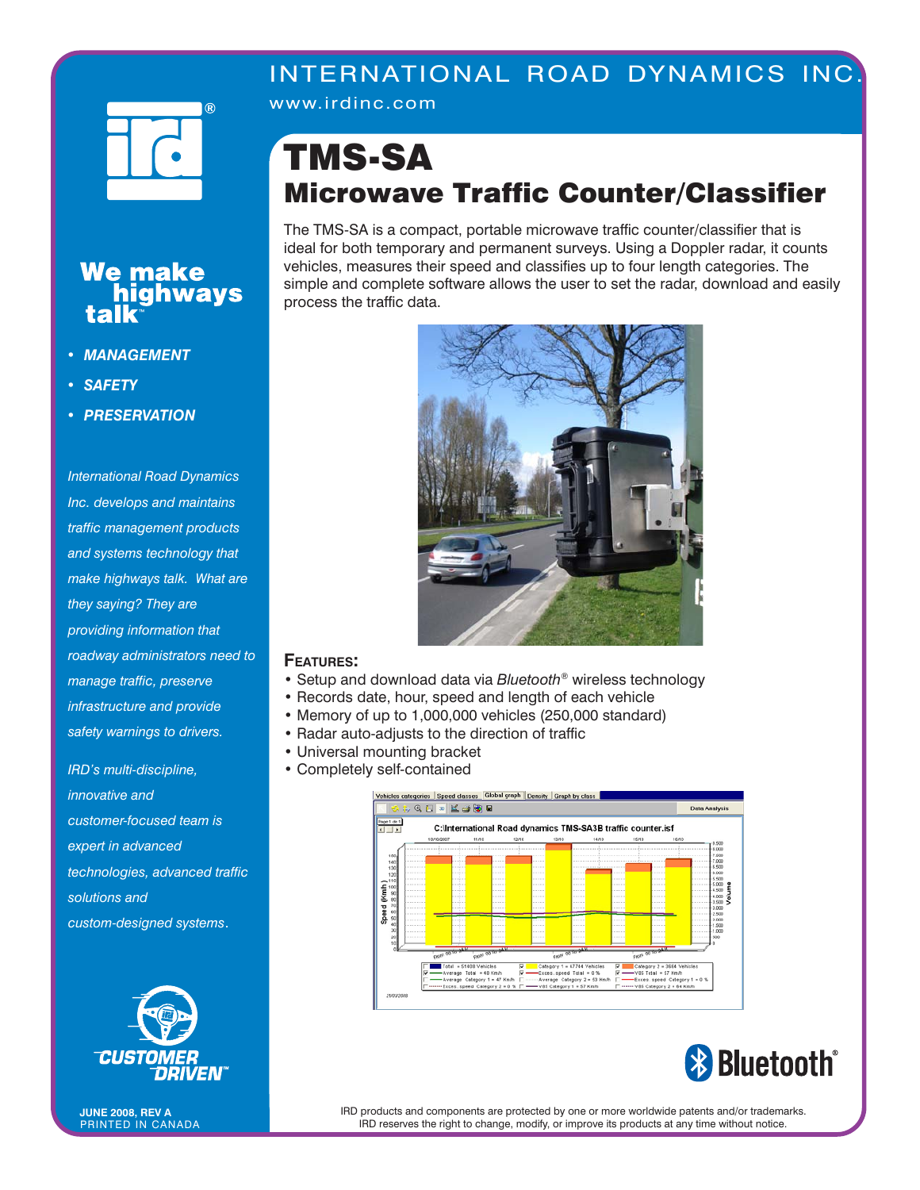## INTERNATIONAL ROAD DYNAMICS INC.



We make<br>**bighways** 

www.irdinc.com

## TMS-SA Microwave Traffic Counter/Classifier

The TMS-SA is a compact, portable microwave traffic counter/classifier that is ideal for both temporary and permanent surveys. Using a Doppler radar, it counts vehicles, measures their speed and classifies up to four length categories. The simple and complete software allows the user to set the radar, download and easily process the traffic data.



## **FEATURES:**

- Setup and download data via *Bluetooth®* wireless technology
- Records date, hour, speed and length of each vehicle
- Memory of up to 1,000,000 vehicles (250,000 standard)
- Radar auto-adjusts to the direction of traffic
- Universal mounting bracket
- Completely self-contained





- *MANAGEMENT*
- *SAFETY*

talk

*• PRESERVATION* 

*International Road Dynamics Inc. develops and maintains traffic management products and systems technology that make highways talk. What are they saying? They are providing information that roadway administrators need to manage traffic, preserve infrastructure and provide safety warnings to drivers.* 

*IRD's multi-discipline, innovative and customer-focused team is expert in advanced technologies, advanced traffic solutions and custom-designed systems*.



PRINTED IN CANADA **JUNE 2008, REV A**

IRD products and components are protected by one or more worldwide patents and/or trademarks. IRD reserves the right to change, modify, or improve its products at any time without notice.